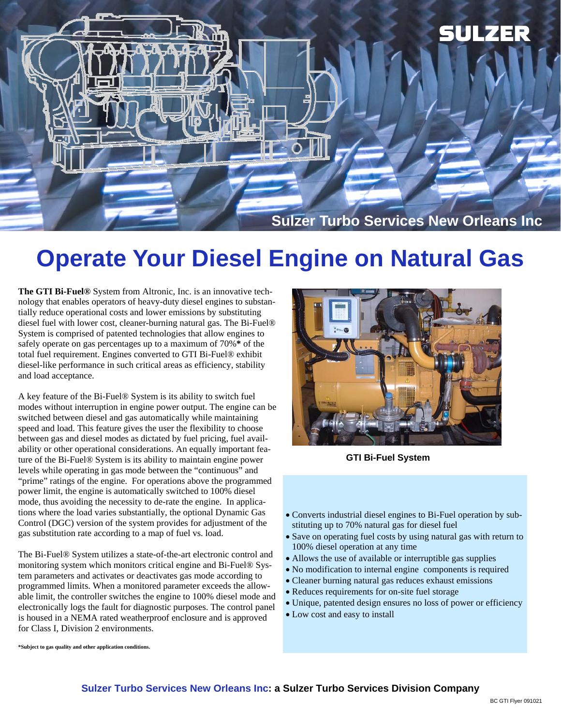

## **Operate Your Diesel Engine on Natural Gas**

**The GTI Bi-Fuel®** System from Altronic, Inc. is an innovative technology that enables operators of heavy-duty diesel engines to substantially reduce operational costs and lower emissions by substituting diesel fuel with lower cost, cleaner-burning natural gas. The Bi-Fuel® System is comprised of patented technologies that allow engines to safely operate on gas percentages up to a maximum of 70%**\*** of the total fuel requirement. Engines converted to GTI Bi-Fuel® exhibit diesel-like performance in such critical areas as efficiency, stability and load acceptance.

A key feature of the Bi-Fuel® System is its ability to switch fuel modes without interruption in engine power output. The engine can be switched between diesel and gas automatically while maintaining speed and load. This feature gives the user the flexibility to choose between gas and diesel modes as dictated by fuel pricing, fuel availability or other operational considerations. An equally important feature of the Bi-Fuel® System is its ability to maintain engine power levels while operating in gas mode between the "continuous" and "prime" ratings of the engine. For operations above the programmed power limit, the engine is automatically switched to 100% diesel mode, thus avoiding the necessity to de-rate the engine. In applications where the load varies substantially, the optional Dynamic Gas Control (DGC) version of the system provides for adjustment of the gas substitution rate according to a map of fuel vs. load.

The Bi-Fuel® System utilizes a state-of-the-art electronic control and monitoring system which monitors critical engine and Bi-Fuel® System parameters and activates or deactivates gas mode according to programmed limits. When a monitored parameter exceeds the allowable limit, the controller switches the engine to 100% diesel mode and electronically logs the fault for diagnostic purposes. The control panel is housed in a NEMA rated weatherproof enclosure and is approved for Class I, Division 2 environments.



**GTI Bi-Fuel System** 

- Converts industrial diesel engines to Bi-Fuel operation by substituting up to 70% natural gas for diesel fuel
- Save on operating fuel costs by using natural gas with return to 100% diesel operation at any time
- Allows the use of available or interruptible gas supplies
- No modification to internal engine components is required
- Cleaner burning natural gas reduces exhaust emissions
- Reduces requirements for on-site fuel storage
- Unique, patented design ensures no loss of power or efficiency
- Low cost and easy to install

**\*Subject to gas quality and other application conditions.**